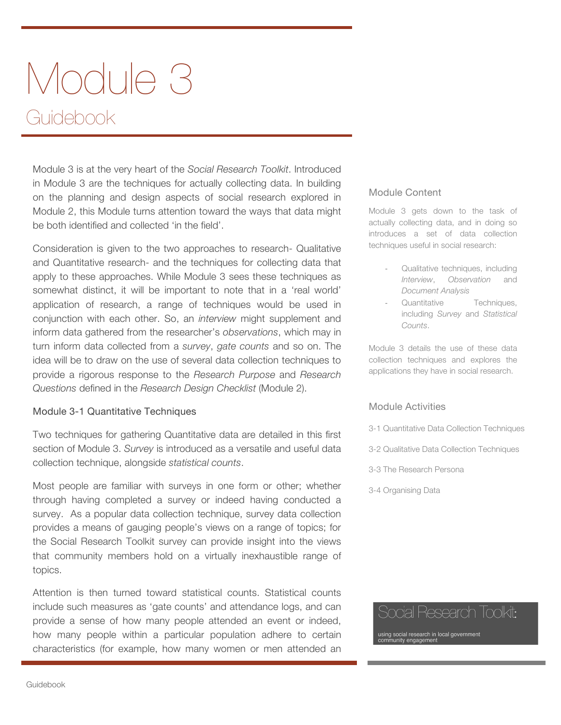# Module 3 Guidebook

Module 3 is at the very heart of the *Social Research Toolkit*. Introduced in Module 3 are the techniques for actually collecting data. In building on the planning and design aspects of social research explored in Module 2, this Module turns attention toward the ways that data might be both identified and collected 'in the field'.

Consideration is given to the two approaches to research- Qualitative and Quantitative research- and the techniques for collecting data that apply to these approaches. While Module 3 sees these techniques as somewhat distinct, it will be important to note that in a 'real world' application of research, a range of techniques would be used in conjunction with each other. So, an *interview* might supplement and inform data gathered from the researcher's *observations*, which may in turn inform data collected from a *survey*, *gate counts* and so on. The idea will be to draw on the use of several data collection techniques to provide a rigorous response to the *Research Purpose* and *Research Questions* defined in the *Research Design Checklist* (Module 2).

#### Module 3-1 Quantitative Techniques

Two techniques for gathering Quantitative data are detailed in this first section of Module 3. *Survey* is introduced as a versatile and useful data collection technique, alongside *statistical counts*.

Most people are familiar with surveys in one form or other; whether through having completed a survey or indeed having conducted a survey. As a popular data collection technique, survey data collection provides a means of gauging people's views on a range of topics; for the Social Research Toolkit survey can provide insight into the views that community members hold on a virtually inexhaustible range of topics.

Attention is then turned toward statistical counts. Statistical counts include such measures as 'gate counts' and attendance logs, and can provide a sense of how many people attended an event or indeed, how many people within a particular population adhere to certain characteristics (for example, how many women or men attended an

#### Module Content

Module 3 gets down to the task of actually collecting data, and in doing so introduces a set of data collection techniques useful in social research:

- Qualitative techniques, including *Interview*, *Observation* and *Document Analysis*
- Quantitative Techniques, including *Survey* and *Statistical Counts*.

Module 3 details the use of these data collection techniques and explores the applications they have in social research.

#### Module Activities

- 3-1 Quantitative Data Collection Techniques
- 3-2 Qualitative Data Collection Techniques
- 3-3 The Research Persona
- 3-4 Organising Data

## Social Research Toolkit:

ing social research in local government<br>mmunity engagement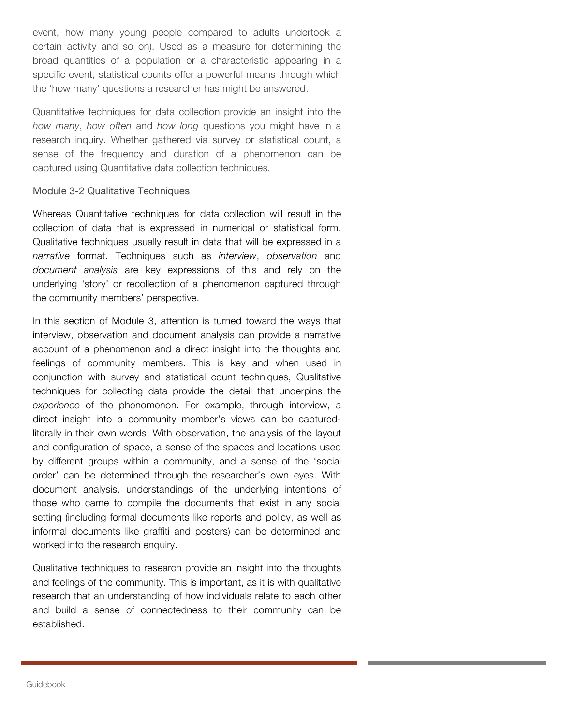event, how many young people compared to adults undertook a certain activity and so on). Used as a measure for determining the broad quantities of a population or a characteristic appearing in a specific event, statistical counts offer a powerful means through which the 'how many' questions a researcher has might be answered.

Quantitative techniques for data collection provide an insight into the *how many*, *how often* and *how long* questions you might have in a research inquiry. Whether gathered via survey or statistical count, a sense of the frequency and duration of a phenomenon can be captured using Quantitative data collection techniques.

#### Module 3-2 Qualitative Techniques

Whereas Quantitative techniques for data collection will result in the collection of data that is expressed in numerical or statistical form, Qualitative techniques usually result in data that will be expressed in a *narrative* format. Techniques such as *interview*, *observation* and *document analysis* are key expressions of this and rely on the underlying 'story' or recollection of a phenomenon captured through the community members' perspective.

In this section of Module 3, attention is turned toward the ways that interview, observation and document analysis can provide a narrative account of a phenomenon and a direct insight into the thoughts and feelings of community members. This is key and when used in conjunction with survey and statistical count techniques, Qualitative techniques for collecting data provide the detail that underpins the *experience* of the phenomenon. For example, through interview, a direct insight into a community member's views can be capturedliterally in their own words. With observation, the analysis of the layout and configuration of space, a sense of the spaces and locations used by different groups within a community, and a sense of the 'social order' can be determined through the researcher's own eyes. With document analysis, understandings of the underlying intentions of those who came to compile the documents that exist in any social setting (including formal documents like reports and policy, as well as informal documents like graffiti and posters) can be determined and worked into the research enquiry.

Qualitative techniques to research provide an insight into the thoughts and feelings of the community. This is important, as it is with qualitative research that an understanding of how individuals relate to each other and build a sense of connectedness to their community can be established.